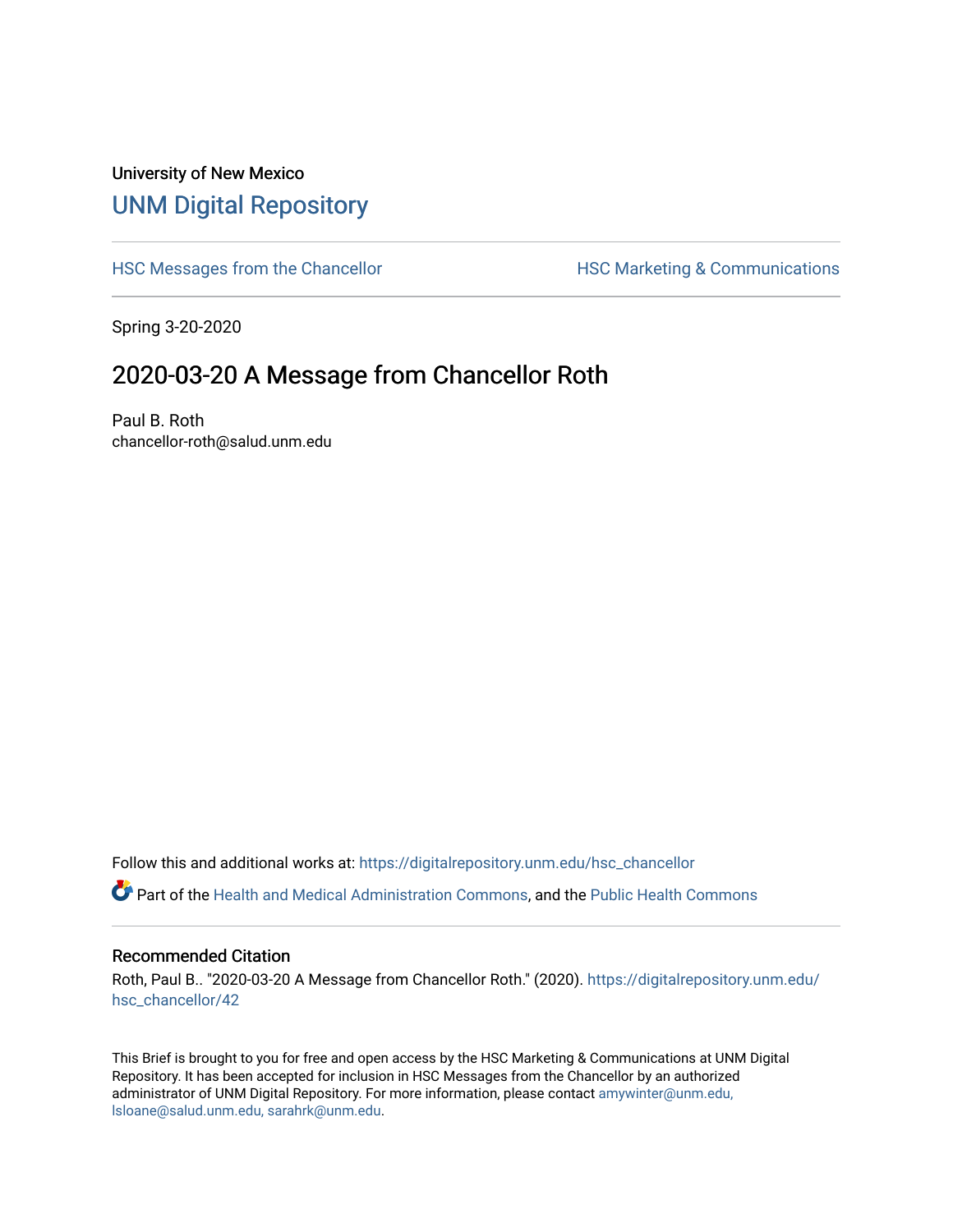## University of New Mexico [UNM Digital Repository](https://digitalrepository.unm.edu/)

[HSC Messages from the Chancellor](https://digitalrepository.unm.edu/hsc_chancellor) **HSC Marketing & Communications** 

Spring 3-20-2020

## 2020-03-20 A Message from Chancellor Roth

Paul B. Roth chancellor-roth@salud.unm.edu

Follow this and additional works at: [https://digitalrepository.unm.edu/hsc\\_chancellor](https://digitalrepository.unm.edu/hsc_chancellor?utm_source=digitalrepository.unm.edu%2Fhsc_chancellor%2F42&utm_medium=PDF&utm_campaign=PDFCoverPages) 

Part of the [Health and Medical Administration Commons](http://network.bepress.com/hgg/discipline/663?utm_source=digitalrepository.unm.edu%2Fhsc_chancellor%2F42&utm_medium=PDF&utm_campaign=PDFCoverPages), and the [Public Health Commons](http://network.bepress.com/hgg/discipline/738?utm_source=digitalrepository.unm.edu%2Fhsc_chancellor%2F42&utm_medium=PDF&utm_campaign=PDFCoverPages) 

#### Recommended Citation

Roth, Paul B.. "2020-03-20 A Message from Chancellor Roth." (2020). [https://digitalrepository.unm.edu/](https://digitalrepository.unm.edu/hsc_chancellor/42?utm_source=digitalrepository.unm.edu%2Fhsc_chancellor%2F42&utm_medium=PDF&utm_campaign=PDFCoverPages) [hsc\\_chancellor/42](https://digitalrepository.unm.edu/hsc_chancellor/42?utm_source=digitalrepository.unm.edu%2Fhsc_chancellor%2F42&utm_medium=PDF&utm_campaign=PDFCoverPages) 

This Brief is brought to you for free and open access by the HSC Marketing & Communications at UNM Digital Repository. It has been accepted for inclusion in HSC Messages from the Chancellor by an authorized administrator of UNM Digital Repository. For more information, please contact [amywinter@unm.edu,](mailto:amywinter@unm.edu,%20lsloane@salud.unm.edu,%20sarahrk@unm.edu) [lsloane@salud.unm.edu, sarahrk@unm.edu.](mailto:amywinter@unm.edu,%20lsloane@salud.unm.edu,%20sarahrk@unm.edu)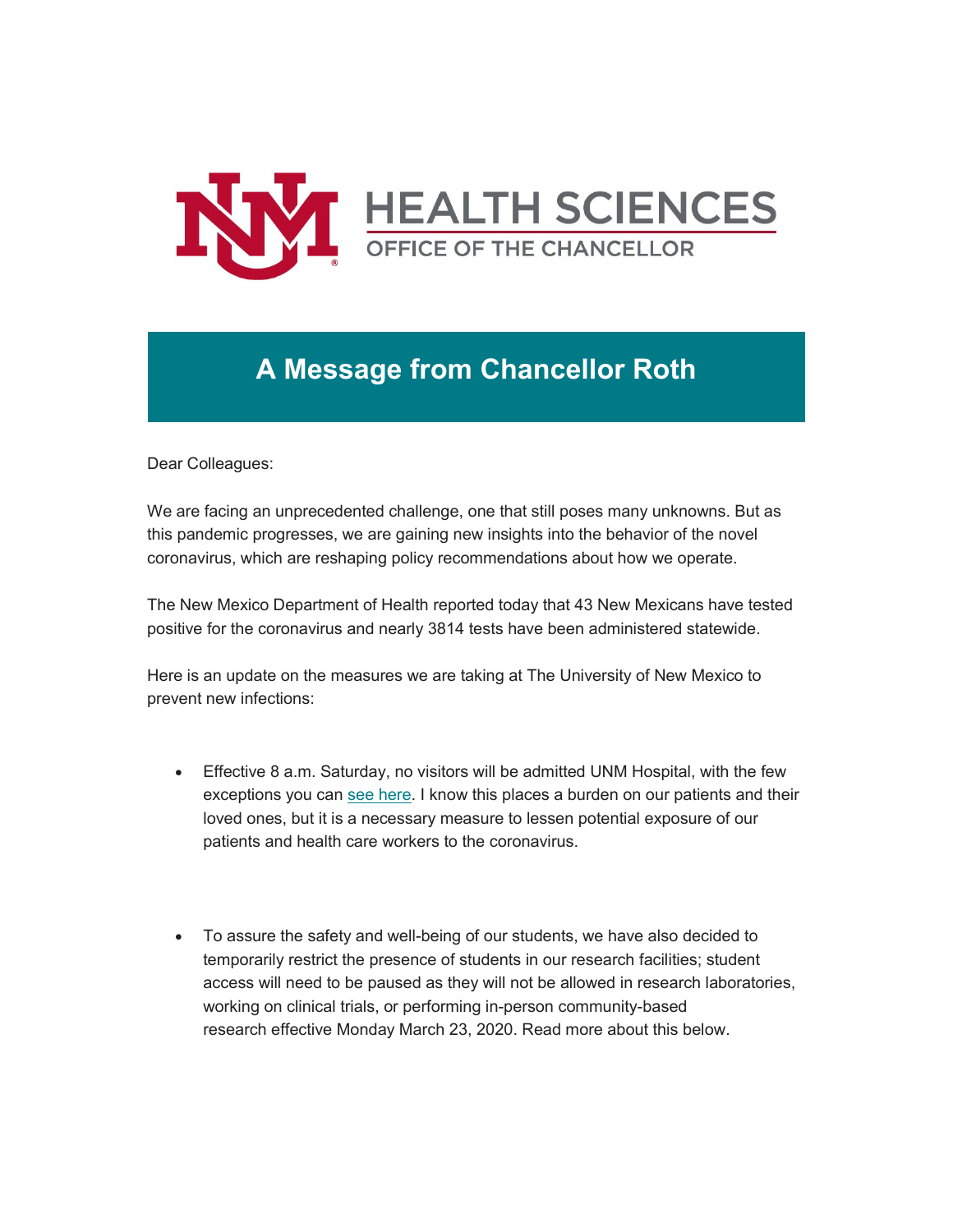

# **A Message from Chancellor Roth**

Dear Colleagues:

We are facing an unprecedented challenge, one that still poses many unknowns. But as this pandemic progresses, we are gaining new insights into the behavior of the novel coronavirus, which are reshaping policy recommendations about how we operate.

The New Mexico Department of Health reported today that 43 New Mexicans have tested positive for the coronavirus and nearly 3814 tests have been administered statewide.

Here is an update on the measures we are taking at The University of New Mexico to prevent new infections:

- Effective 8 a.m. Saturday, no visitors will be admitted UNM Hospital, with the few exceptions you can [see here.](https://unm.us19.list-manage.com/track/click?u=59ce53c1a4dedb490bac78648&id=9e28bb24d9&e=b4bbfca2c0) I know this places a burden on our patients and their loved ones, but it is a necessary measure to lessen potential exposure of our patients and health care workers to the coronavirus.
- To assure the safety and well-being of our students, we have also decided to temporarily restrict the presence of students in our research facilities; student access will need to be paused as they will not be allowed in research laboratories, working on clinical trials, or performing in-person community-based research effective Monday March 23, 2020. Read more about this below.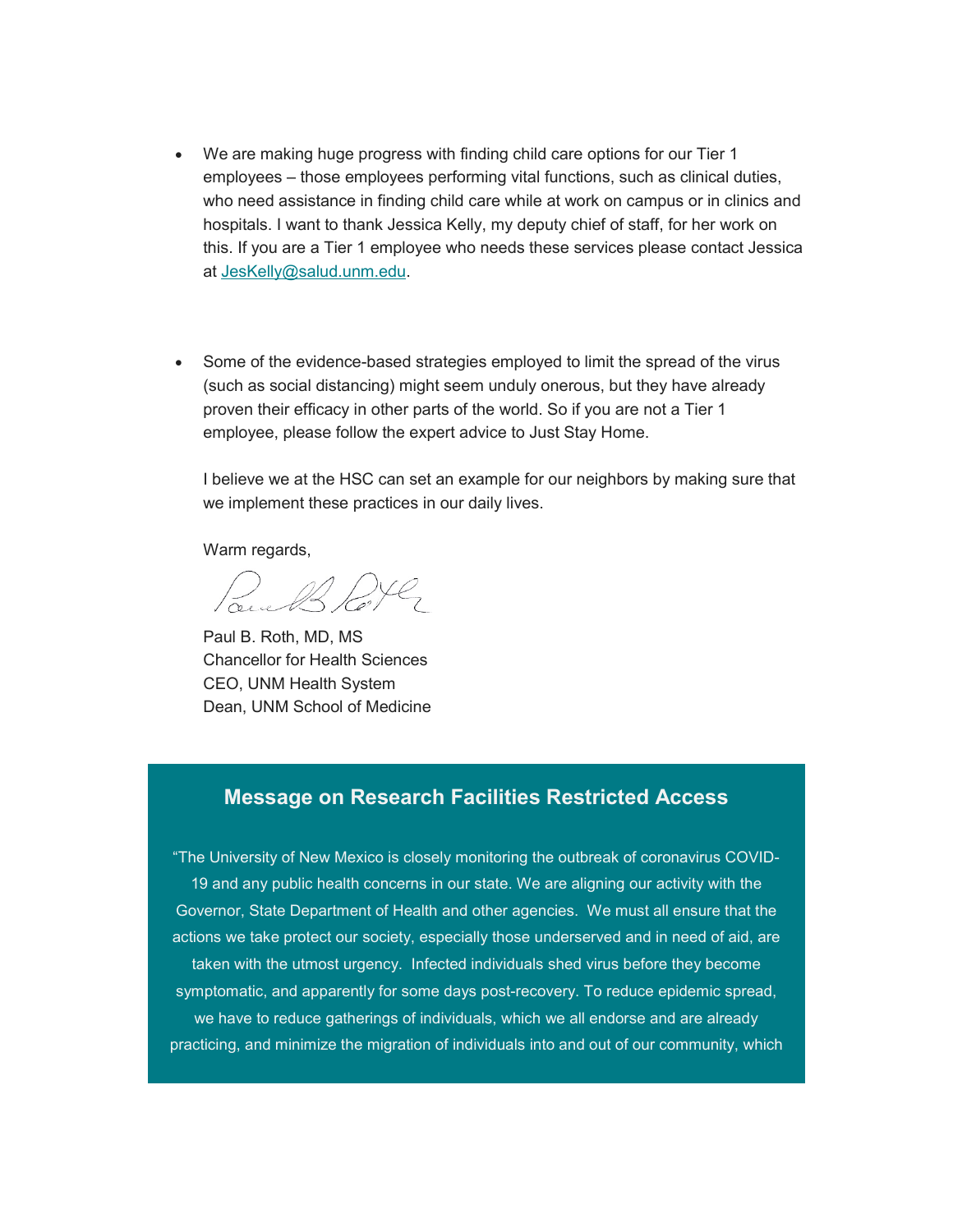- We are making huge progress with finding child care options for our Tier 1 employees – those employees performing vital functions, such as clinical duties, who need assistance in finding child care while at work on campus or in clinics and hospitals. I want to thank Jessica Kelly, my deputy chief of staff, for her work on this. If you are a Tier 1 employee who needs these services please contact Jessica at [JesKelly@salud.unm.edu.](mailto:JesKelly@salud.unm.edu)
- Some of the evidence-based strategies employed to limit the spread of the virus (such as social distancing) might seem unduly onerous, but they have already proven their efficacy in other parts of the world. So if you are not a Tier 1 employee, please follow the expert advice to Just Stay Home.

I believe we at the HSC can set an example for our neighbors by making sure that we implement these practices in our daily lives.

Warm regards.

Paul B. Roth, MD, MS Chancellor for Health Sciences CEO, UNM Health System Dean, UNM School of Medicine

### **Message on Research Facilities Restricted Access**

"The University of New Mexico is closely monitoring the outbreak of coronavirus COVID-19 and any public health concerns in our state. We are aligning our activity with the Governor, State Department of Health and other agencies. We must all ensure that the actions we take protect our society, especially those underserved and in need of aid, are taken with the utmost urgency. Infected individuals shed virus before they become symptomatic, and apparently for some days post-recovery. To reduce epidemic spread, we have to reduce gatherings of individuals, which we all endorse and are already practicing, and minimize the migration of individuals into and out of our community, which